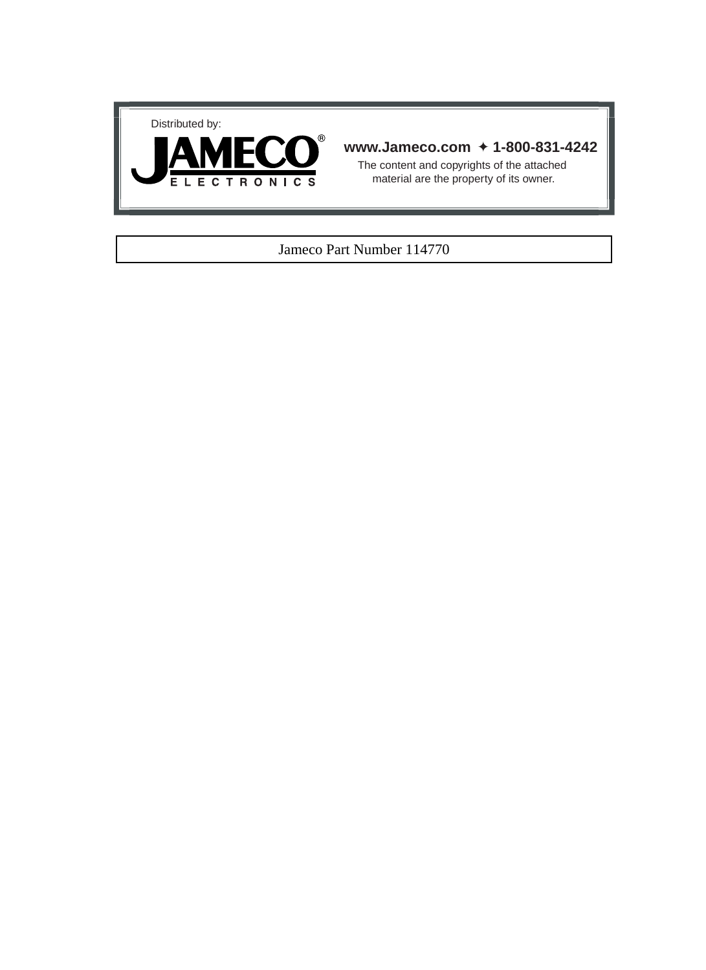



## **www.Jameco.com** ✦ **1-800-831-4242**

The content and copyrights of the attached material are the property of its owner.

## Jameco Part Number 114770